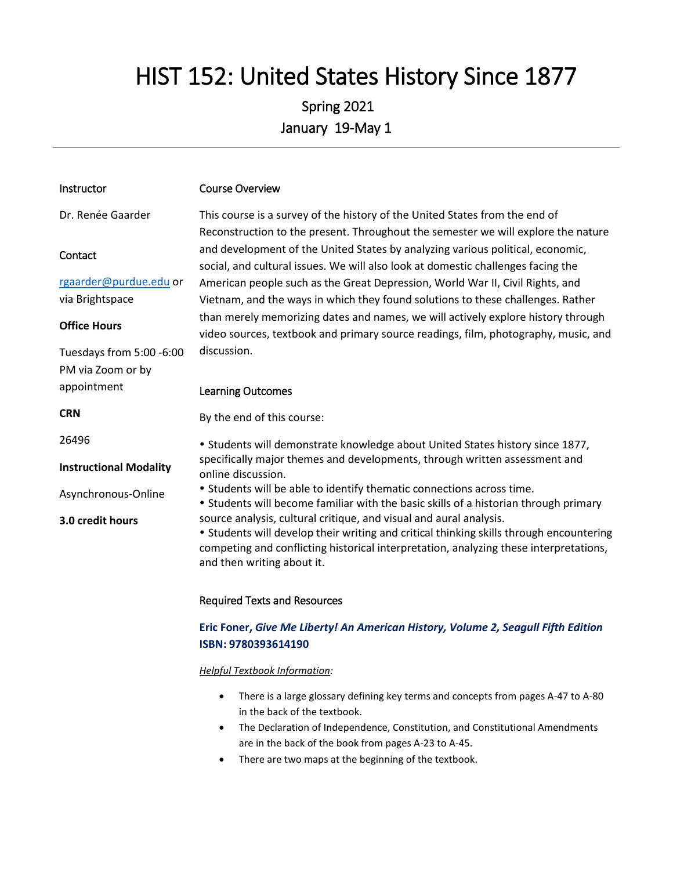# HIST 152: United States History Since 1877

# Spring 2021 January 19-May 1

| Instructor                    | <b>Course Overview</b>                                                                                                                                                                                                                                                               |
|-------------------------------|--------------------------------------------------------------------------------------------------------------------------------------------------------------------------------------------------------------------------------------------------------------------------------------|
| Dr. Renée Gaarder             | This course is a survey of the history of the United States from the end of<br>Reconstruction to the present. Throughout the semester we will explore the nature                                                                                                                     |
| Contact                       | and development of the United States by analyzing various political, economic,<br>social, and cultural issues. We will also look at domestic challenges facing the                                                                                                                   |
| rgaarder@purdue.edu or        | American people such as the Great Depression, World War II, Civil Rights, and                                                                                                                                                                                                        |
| via Brightspace               | Vietnam, and the ways in which they found solutions to these challenges. Rather                                                                                                                                                                                                      |
| <b>Office Hours</b>           | than merely memorizing dates and names, we will actively explore history through<br>video sources, textbook and primary source readings, film, photography, music, and                                                                                                               |
| Tuesdays from 5:00 -6:00      | discussion.                                                                                                                                                                                                                                                                          |
| PM via Zoom or by             |                                                                                                                                                                                                                                                                                      |
| appointment                   | <b>Learning Outcomes</b>                                                                                                                                                                                                                                                             |
| <b>CRN</b>                    | By the end of this course:                                                                                                                                                                                                                                                           |
| 26496                         | • Students will demonstrate knowledge about United States history since 1877,                                                                                                                                                                                                        |
| <b>Instructional Modality</b> | specifically major themes and developments, through written assessment and<br>online discussion.                                                                                                                                                                                     |
| Asynchronous-Online           | • Students will be able to identify thematic connections across time.<br>• Students will become familiar with the basic skills of a historian through primary                                                                                                                        |
| 3.0 credit hours              | source analysis, cultural critique, and visual and aural analysis.<br>• Students will develop their writing and critical thinking skills through encountering<br>competing and conflicting historical interpretation, analyzing these interpretations,<br>and then writing about it. |
|                               | <b>Required Texts and Resources</b>                                                                                                                                                                                                                                                  |

# **Eric Foner,** *Give Me Liberty! An American History, Volume 2, Seagull Fifth Edition*

# **ISBN: 9780393614190**

#### *Helpful Textbook Information:*

- There is a large glossary defining key terms and concepts from pages A-47 to A-80 in the back of the textbook.
- The Declaration of Independence, Constitution, and Constitutional Amendments are in the back of the book from pages A-23 to A-45.
- There are two maps at the beginning of the textbook.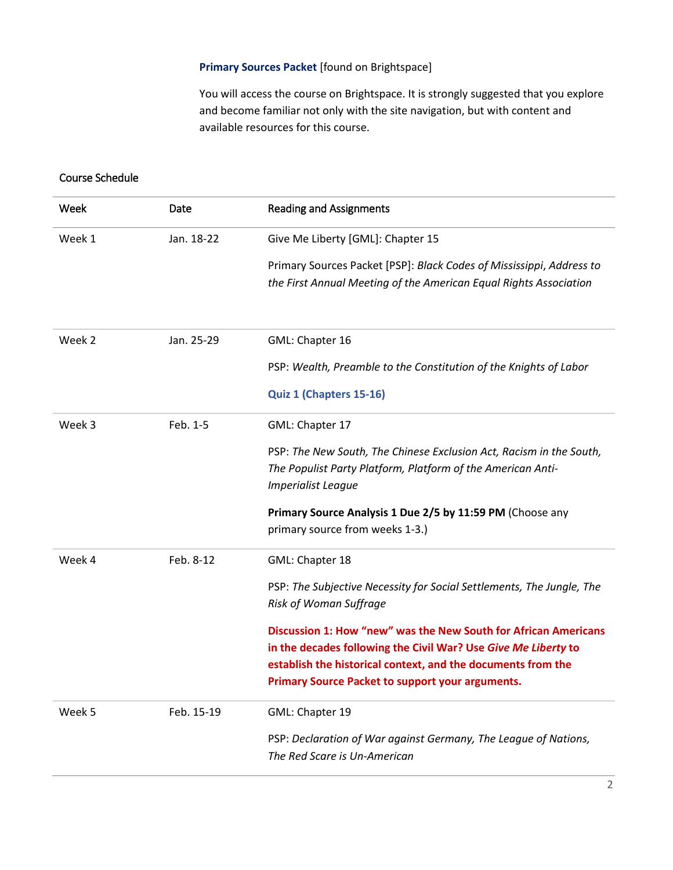### **Primary Sources Packet** [found on Brightspace]

You will access the course on Brightspace. It is strongly suggested that you explore and become familiar not only with the site navigation, but with content and available resources for this course.

### Course Schedule

| Week   | Date       | <b>Reading and Assignments</b>                                                                                                                                                                                                                               |
|--------|------------|--------------------------------------------------------------------------------------------------------------------------------------------------------------------------------------------------------------------------------------------------------------|
| Week 1 | Jan. 18-22 | Give Me Liberty [GML]: Chapter 15                                                                                                                                                                                                                            |
|        |            | Primary Sources Packet [PSP]: Black Codes of Mississippi, Address to<br>the First Annual Meeting of the American Equal Rights Association                                                                                                                    |
| Week 2 | Jan. 25-29 | GML: Chapter 16                                                                                                                                                                                                                                              |
|        |            | PSP: Wealth, Preamble to the Constitution of the Knights of Labor                                                                                                                                                                                            |
|        |            | Quiz 1 (Chapters 15-16)                                                                                                                                                                                                                                      |
| Week 3 | Feb. 1-5   | GML: Chapter 17                                                                                                                                                                                                                                              |
|        |            | PSP: The New South, The Chinese Exclusion Act, Racism in the South,<br>The Populist Party Platform, Platform of the American Anti-<br><b>Imperialist League</b>                                                                                              |
|        |            | Primary Source Analysis 1 Due 2/5 by 11:59 PM (Choose any<br>primary source from weeks 1-3.)                                                                                                                                                                 |
| Week 4 | Feb. 8-12  | GML: Chapter 18                                                                                                                                                                                                                                              |
|        |            | PSP: The Subjective Necessity for Social Settlements, The Jungle, The<br><b>Risk of Woman Suffrage</b>                                                                                                                                                       |
|        |            | Discussion 1: How "new" was the New South for African Americans<br>in the decades following the Civil War? Use Give Me Liberty to<br>establish the historical context, and the documents from the<br><b>Primary Source Packet to support your arguments.</b> |
| Week 5 | Feb. 15-19 | GML: Chapter 19                                                                                                                                                                                                                                              |
|        |            | PSP: Declaration of War against Germany, The League of Nations,<br>The Red Scare is Un-American                                                                                                                                                              |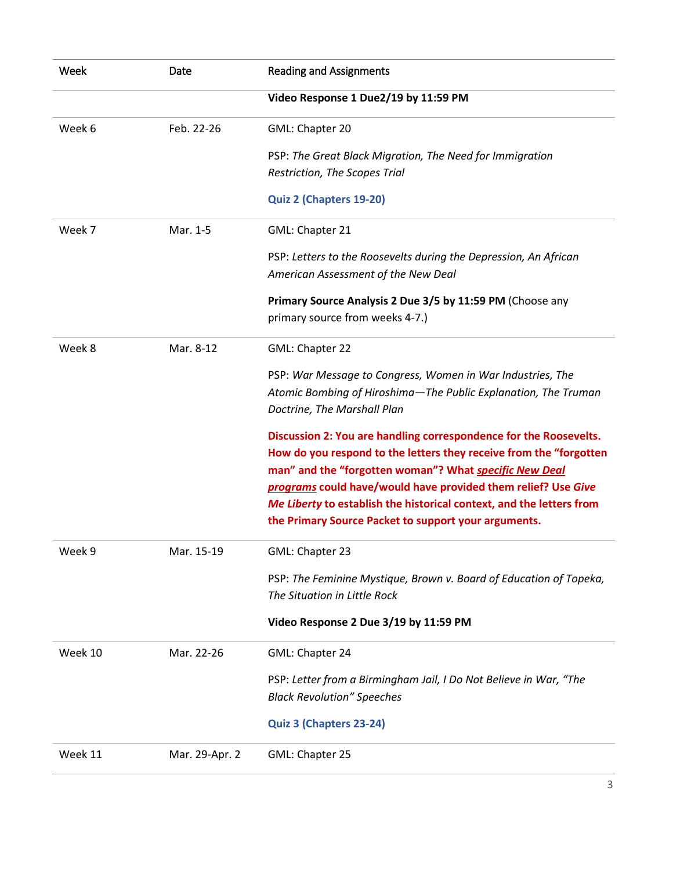| Week    | Date           | <b>Reading and Assignments</b>                                                                                                                                                                                                                                                                                                                                                                     |  |  |
|---------|----------------|----------------------------------------------------------------------------------------------------------------------------------------------------------------------------------------------------------------------------------------------------------------------------------------------------------------------------------------------------------------------------------------------------|--|--|
|         |                | Video Response 1 Due2/19 by 11:59 PM                                                                                                                                                                                                                                                                                                                                                               |  |  |
| Week 6  | Feb. 22-26     | GML: Chapter 20                                                                                                                                                                                                                                                                                                                                                                                    |  |  |
|         |                | PSP: The Great Black Migration, The Need for Immigration<br>Restriction, The Scopes Trial                                                                                                                                                                                                                                                                                                          |  |  |
|         |                | Quiz 2 (Chapters 19-20)                                                                                                                                                                                                                                                                                                                                                                            |  |  |
| Week 7  | Mar. 1-5       | GML: Chapter 21                                                                                                                                                                                                                                                                                                                                                                                    |  |  |
|         |                | PSP: Letters to the Roosevelts during the Depression, An African<br>American Assessment of the New Deal                                                                                                                                                                                                                                                                                            |  |  |
|         |                | Primary Source Analysis 2 Due 3/5 by 11:59 PM (Choose any<br>primary source from weeks 4-7.)                                                                                                                                                                                                                                                                                                       |  |  |
| Week 8  | Mar. 8-12      | GML: Chapter 22                                                                                                                                                                                                                                                                                                                                                                                    |  |  |
|         |                | PSP: War Message to Congress, Women in War Industries, The<br>Atomic Bombing of Hiroshima-The Public Explanation, The Truman<br>Doctrine, The Marshall Plan                                                                                                                                                                                                                                        |  |  |
|         |                | Discussion 2: You are handling correspondence for the Roosevelts.<br>How do you respond to the letters they receive from the "forgotten<br>man" and the "forgotten woman"? What specific New Deal<br>programs could have/would have provided them relief? Use Give<br>Me Liberty to establish the historical context, and the letters from<br>the Primary Source Packet to support your arguments. |  |  |
| Week 9  | Mar. 15-19     | GML: Chapter 23                                                                                                                                                                                                                                                                                                                                                                                    |  |  |
|         |                | PSP: The Feminine Mystique, Brown v. Board of Education of Topeka,<br>The Situation in Little Rock                                                                                                                                                                                                                                                                                                 |  |  |
|         |                | Video Response 2 Due 3/19 by 11:59 PM                                                                                                                                                                                                                                                                                                                                                              |  |  |
| Week 10 | Mar. 22-26     | GML: Chapter 24                                                                                                                                                                                                                                                                                                                                                                                    |  |  |
|         |                | PSP: Letter from a Birmingham Jail, I Do Not Believe in War, "The<br><b>Black Revolution" Speeches</b>                                                                                                                                                                                                                                                                                             |  |  |
|         |                | Quiz 3 (Chapters 23-24)                                                                                                                                                                                                                                                                                                                                                                            |  |  |
| Week 11 | Mar. 29-Apr. 2 | GML: Chapter 25                                                                                                                                                                                                                                                                                                                                                                                    |  |  |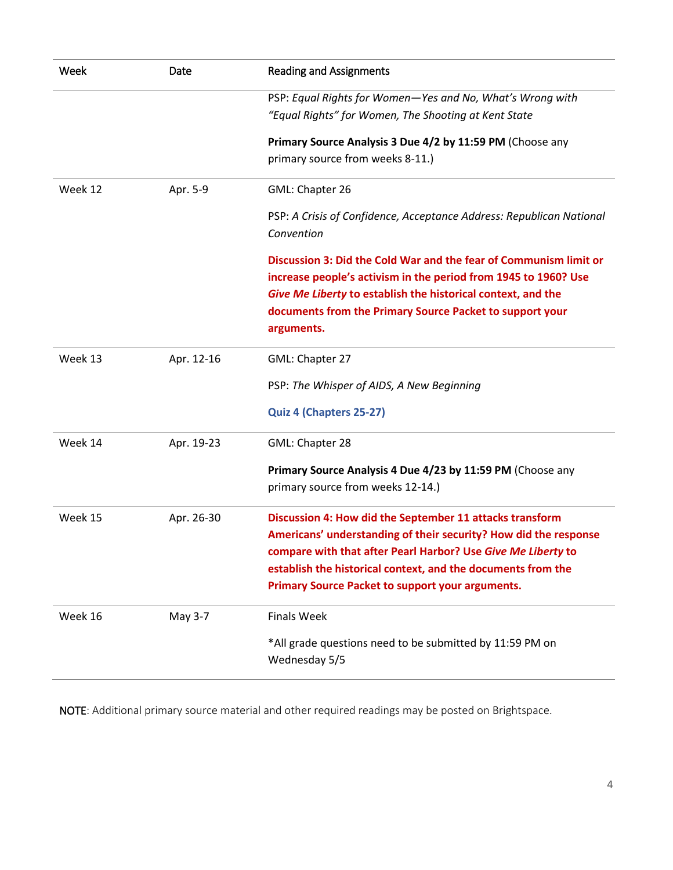| Week    | Date       | <b>Reading and Assignments</b>                                                                                                                                                                                                                                                                                          |  |  |
|---------|------------|-------------------------------------------------------------------------------------------------------------------------------------------------------------------------------------------------------------------------------------------------------------------------------------------------------------------------|--|--|
|         |            | PSP: Equal Rights for Women-Yes and No, What's Wrong with<br>"Equal Rights" for Women, The Shooting at Kent State                                                                                                                                                                                                       |  |  |
|         |            | Primary Source Analysis 3 Due 4/2 by 11:59 PM (Choose any<br>primary source from weeks 8-11.)                                                                                                                                                                                                                           |  |  |
| Week 12 | Apr. 5-9   | GML: Chapter 26                                                                                                                                                                                                                                                                                                         |  |  |
|         |            | PSP: A Crisis of Confidence, Acceptance Address: Republican National<br>Convention                                                                                                                                                                                                                                      |  |  |
|         |            | Discussion 3: Did the Cold War and the fear of Communism limit or<br>increase people's activism in the period from 1945 to 1960? Use<br>Give Me Liberty to establish the historical context, and the<br>documents from the Primary Source Packet to support your<br>arguments.                                          |  |  |
| Week 13 | Apr. 12-16 | GML: Chapter 27                                                                                                                                                                                                                                                                                                         |  |  |
|         |            | PSP: The Whisper of AIDS, A New Beginning                                                                                                                                                                                                                                                                               |  |  |
|         |            | Quiz 4 (Chapters 25-27)                                                                                                                                                                                                                                                                                                 |  |  |
| Week 14 | Apr. 19-23 | GML: Chapter 28                                                                                                                                                                                                                                                                                                         |  |  |
|         |            | Primary Source Analysis 4 Due 4/23 by 11:59 PM (Choose any<br>primary source from weeks 12-14.)                                                                                                                                                                                                                         |  |  |
| Week 15 | Apr. 26-30 | Discussion 4: How did the September 11 attacks transform<br>Americans' understanding of their security? How did the response<br>compare with that after Pearl Harbor? Use Give Me Liberty to<br>establish the historical context, and the documents from the<br><b>Primary Source Packet to support your arguments.</b> |  |  |
| Week 16 | May 3-7    | <b>Finals Week</b>                                                                                                                                                                                                                                                                                                      |  |  |
|         |            | *All grade questions need to be submitted by 11:59 PM on<br>Wednesday 5/5                                                                                                                                                                                                                                               |  |  |

NOTE: Additional primary source material and other required readings may be posted on Brightspace.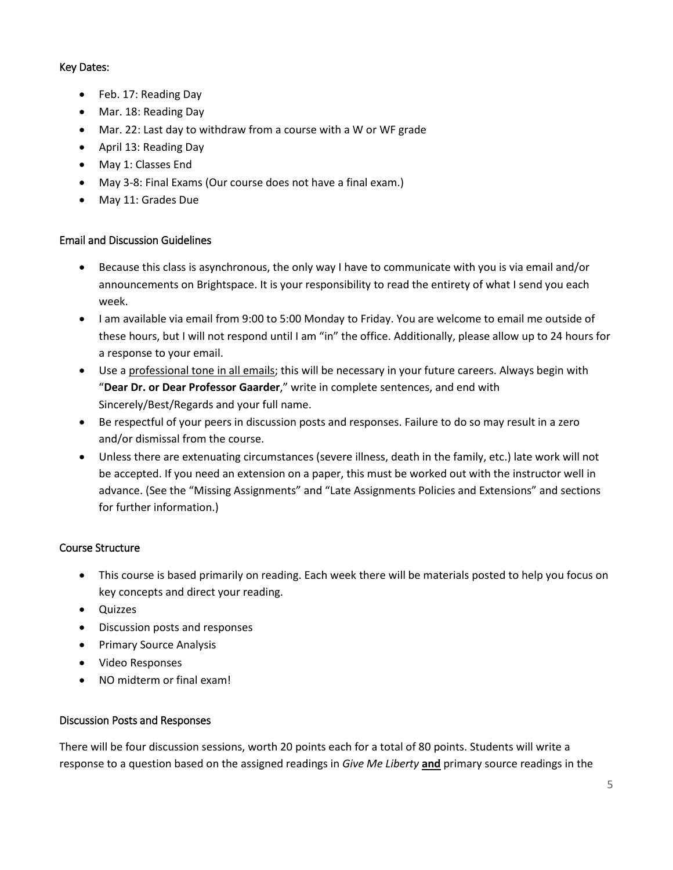# Key Dates:

- Feb. 17: Reading Day
- Mar. 18: Reading Day
- Mar. 22: Last day to withdraw from a course with a W or WF grade
- April 13: Reading Day
- May 1: Classes End
- May 3-8: Final Exams (Our course does not have a final exam.)
- May 11: Grades Due

#### Email and Discussion Guidelines

- Because this class is asynchronous, the only way I have to communicate with you is via email and/or announcements on Brightspace. It is your responsibility to read the entirety of what I send you each week.
- I am available via email from 9:00 to 5:00 Monday to Friday. You are welcome to email me outside of these hours, but I will not respond until I am "in" the office. Additionally, please allow up to 24 hours for a response to your email.
- Use a professional tone in all emails; this will be necessary in your future careers. Always begin with "**Dear Dr. or Dear Professor Gaarder**," write in complete sentences, and end with Sincerely/Best/Regards and your full name.
- Be respectful of your peers in discussion posts and responses. Failure to do so may result in a zero and/or dismissal from the course.
- Unless there are extenuating circumstances (severe illness, death in the family, etc.) late work will not be accepted. If you need an extension on a paper, this must be worked out with the instructor well in advance. (See the "Missing Assignments" and "Late Assignments Policies and Extensions" and sections for further information.)

# Course Structure

- This course is based primarily on reading. Each week there will be materials posted to help you focus on key concepts and direct your reading.
- Quizzes
- Discussion posts and responses
- Primary Source Analysis
- Video Responses
- NO midterm or final exam!

# Discussion Posts and Responses

There will be four discussion sessions, worth 20 points each for a total of 80 points. Students will write a response to a question based on the assigned readings in *Give Me Liberty* **and** primary source readings in the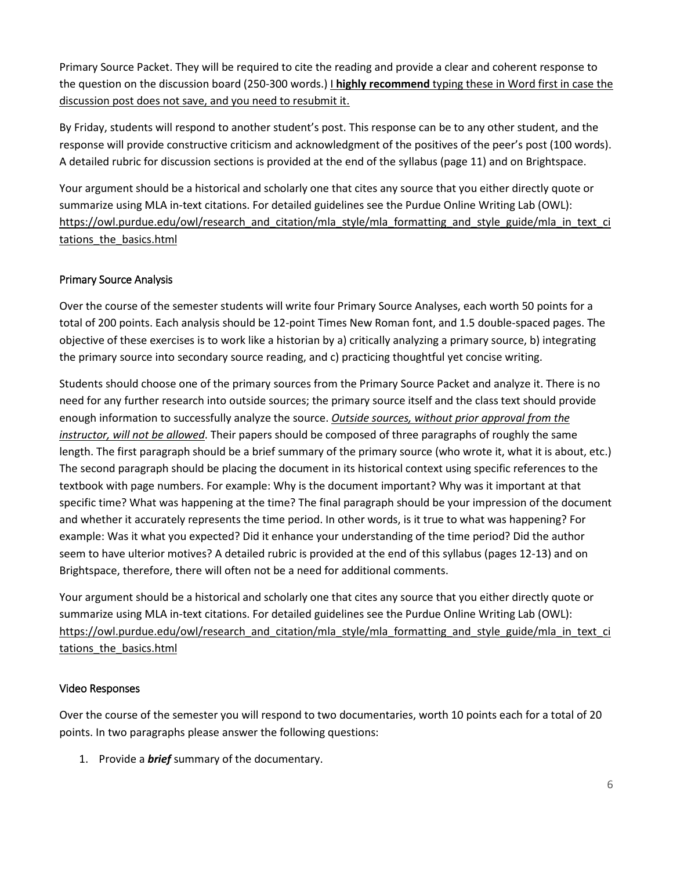Primary Source Packet. They will be required to cite the reading and provide a clear and coherent response to the question on the discussion board (250-300 words.) I **highly recommend** typing these in Word first in case the discussion post does not save, and you need to resubmit it.

By Friday, students will respond to another student's post. This response can be to any other student, and the response will provide constructive criticism and acknowledgment of the positives of the peer's post (100 words). A detailed rubric for discussion sections is provided at the end of the syllabus (page 11) and on Brightspace.

Your argument should be a historical and scholarly one that cites any source that you either directly quote or summarize using MLA in-text citations. For detailed guidelines see the Purdue Online Writing Lab (OWL): [https://owl.purdue.edu/owl/research\\_and\\_citation/mla\\_style/mla\\_formatting\\_and\\_style\\_guide/mla\\_in\\_text\\_ci](https://owl.purdue.edu/owl/research_and_citation/mla_style/mla_formatting_and_style_guide/mla_in_text_citations_the_basics.html) [tations\\_the\\_basics.html](https://owl.purdue.edu/owl/research_and_citation/mla_style/mla_formatting_and_style_guide/mla_in_text_citations_the_basics.html)

# Primary Source Analysis

Over the course of the semester students will write four Primary Source Analyses, each worth 50 points for a total of 200 points. Each analysis should be 12-point Times New Roman font, and 1.5 double-spaced pages. The objective of these exercises is to work like a historian by a) critically analyzing a primary source, b) integrating the primary source into secondary source reading, and c) practicing thoughtful yet concise writing.

Students should choose one of the primary sources from the Primary Source Packet and analyze it. There is no need for any further research into outside sources; the primary source itself and the class text should provide enough information to successfully analyze the source. *Outside sources, without prior approval from the instructor, will not be allowed*. Their papers should be composed of three paragraphs of roughly the same length. The first paragraph should be a brief summary of the primary source (who wrote it, what it is about, etc.) The second paragraph should be placing the document in its historical context using specific references to the textbook with page numbers. For example: Why is the document important? Why was it important at that specific time? What was happening at the time? The final paragraph should be your impression of the document and whether it accurately represents the time period. In other words, is it true to what was happening? For example: Was it what you expected? Did it enhance your understanding of the time period? Did the author seem to have ulterior motives? A detailed rubric is provided at the end of this syllabus (pages 12-13) and on Brightspace, therefore, there will often not be a need for additional comments.

Your argument should be a historical and scholarly one that cites any source that you either directly quote or summarize using MLA in-text citations. For detailed guidelines see the Purdue Online Writing Lab (OWL): [https://owl.purdue.edu/owl/research\\_and\\_citation/mla\\_style/mla\\_formatting\\_and\\_style\\_guide/mla\\_in\\_text\\_ci](https://owl.purdue.edu/owl/research_and_citation/mla_style/mla_formatting_and_style_guide/mla_in_text_citations_the_basics.html) tations the basics.html

# Video Responses

Over the course of the semester you will respond to two documentaries, worth 10 points each for a total of 20 points. In two paragraphs please answer the following questions:

1. Provide a *brief* summary of the documentary.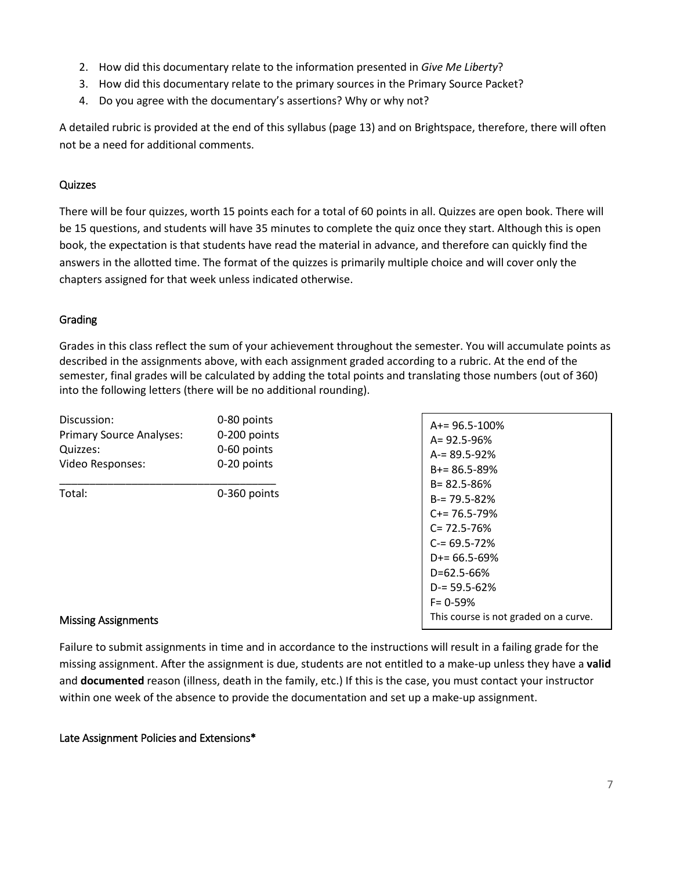- 2. How did this documentary relate to the information presented in *Give Me Liberty*?
- 3. How did this documentary relate to the primary sources in the Primary Source Packet?
- 4. Do you agree with the documentary's assertions? Why or why not?

A detailed rubric is provided at the end of this syllabus (page 13) and on Brightspace, therefore, there will often not be a need for additional comments.

# **Quizzes**

There will be four quizzes, worth 15 points each for a total of 60 points in all. Quizzes are open book. There will be 15 questions, and students will have 35 minutes to complete the quiz once they start. Although this is open book, the expectation is that students have read the material in advance, and therefore can quickly find the answers in the allotted time. The format of the quizzes is primarily multiple choice and will cover only the chapters assigned for that week unless indicated otherwise.

# Grading

Grades in this class reflect the sum of your achievement throughout the semester. You will accumulate points as described in the assignments above, with each assignment graded according to a rubric. At the end of the semester, final grades will be calculated by adding the total points and translating those numbers (out of 360) into the following letters (there will be no additional rounding).

| Discussion:                     | 0-80 points  | $A+= 96.5 - 100%$                                                                                                                                                              |
|---------------------------------|--------------|--------------------------------------------------------------------------------------------------------------------------------------------------------------------------------|
| <b>Primary Source Analyses:</b> | 0-200 points | $A = 92.5 - 96%$                                                                                                                                                               |
| Quizzes:                        | 0-60 points  | $A = 89.5 - 92%$                                                                                                                                                               |
| Video Responses:                | 0-20 points  | $B+=86.5-89%$                                                                                                                                                                  |
| Total:                          | 0-360 points | $B = 82.5 - 86%$<br>$B = 79.5 - 82%$<br>$C = 76.5 - 79\%$<br>$C = 72.5 - 76%$<br>$C = 69.5 - 72%$<br>$D+= 66.5 - 69%$<br>$D = 62.5 - 66%$<br>$D = 59.5 - 62%$<br>$F = 0 - 59%$ |

#### Missing Assignments

Failure to submit assignments in time and in accordance to the instructions will result in a failing grade for the missing assignment. After the assignment is due, students are not entitled to a make-up unless they have a **valid**  and **documented** reason (illness, death in the family, etc.) If this is the case, you must contact your instructor within one week of the absence to provide the documentation and set up a make-up assignment.

#### Late Assignment Policies and Extensions\*

This course is not graded on a curve.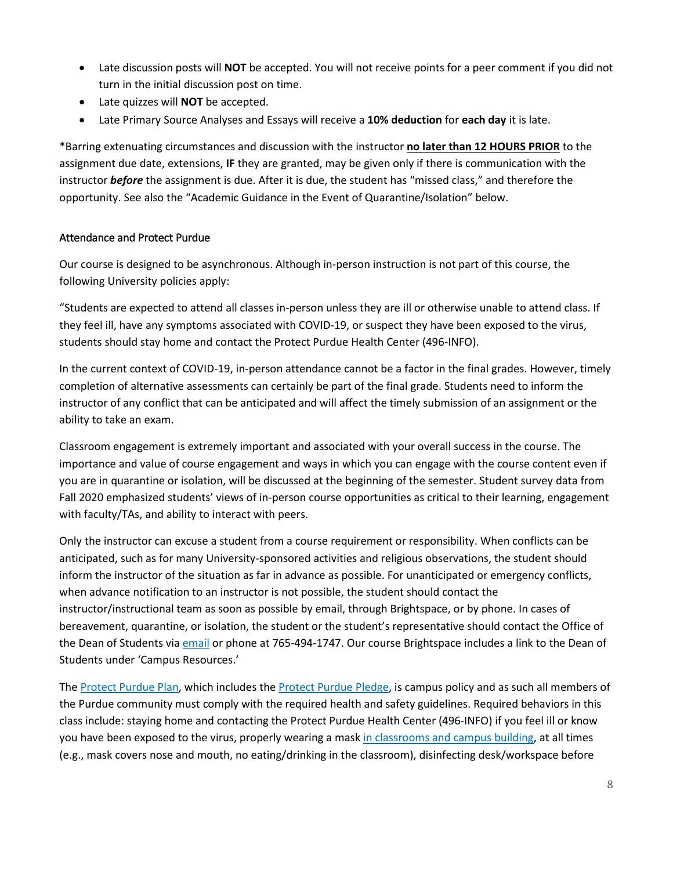- Late discussion posts will **NOT** be accepted. You will not receive points for a peer comment if you did not turn in the initial discussion post on time.
- Late quizzes will **NOT** be accepted.
- Late Primary Source Analyses and Essays will receive a **10% deduction** for **each day** it is late.

\*Barring extenuating circumstances and discussion with the instructor **no later than 12 HOURS PRIOR** to the assignment due date, extensions, **IF** they are granted, may be given only if there is communication with the instructor *before* the assignment is due. After it is due, the student has "missed class," and therefore the opportunity. See also the "Academic Guidance in the Event of Quarantine/Isolation" below.

#### Attendance and Protect Purdue

Our course is designed to be asynchronous. Although in-person instruction is not part of this course, the following University policies apply:

"Students are expected to attend all classes in-person unless they are ill or otherwise unable to attend class. If they feel ill, have any symptoms associated with COVID-19, or suspect they have been exposed to the virus, students should stay home and contact the Protect Purdue Health Center (496-INFO).

In the current context of COVID-19, in-person attendance cannot be a factor in the final grades. However, timely completion of alternative assessments can certainly be part of the final grade. Students need to inform the instructor of any conflict that can be anticipated and will affect the timely submission of an assignment or the ability to take an exam.

Classroom engagement is extremely important and associated with your overall success in the course. The importance and value of course engagement and ways in which you can engage with the course content even if you are in quarantine or isolation, will be discussed at the beginning of the semester. Student survey data from Fall 2020 emphasized students' views of in-person course opportunities as critical to their learning, engagement with faculty/TAs, and ability to interact with peers.

Only the instructor can excuse a student from a course requirement or responsibility. When conflicts can be anticipated, such as for many University-sponsored activities and religious observations, the student should inform the instructor of the situation as far in advance as possible. For unanticipated or emergency conflicts, when advance notification to an instructor is not possible, the student should contact the instructor/instructional team as soon as possible by email, through Brightspace, or by phone. In cases of bereavement, quarantine, or isolation, the student or the student's representative should contact the Office of the Dean of Students via [email](mailto:odos@purdue.edu%20?subject=Student%20Bereavement%20Needs) or phone at 765-494-1747. Our course Brightspace includes a link to the Dean of Students under 'Campus Resources.'

The [Protect Purdue Plan,](https://protect.purdue.edu/plan/) which includes th[e Protect Purdue Pledge,](https://protect.purdue.edu/pledge/?_ga=2.210401429.1213937682.1590527202-1814553957.1589408073) is campus policy and as such all members of the Purdue community must comply with the required health and safety guidelines. Required behaviors in this class include: staying home and contacting the Protect Purdue Health Center (496-INFO) if you feel ill or know you have been exposed to the virus, properly wearing a mas[k in classrooms and campus building,](https://protect.purdue.edu/updates/face-covering-protocols/) at all times (e.g., mask covers nose and mouth, no eating/drinking in the classroom), disinfecting desk/workspace before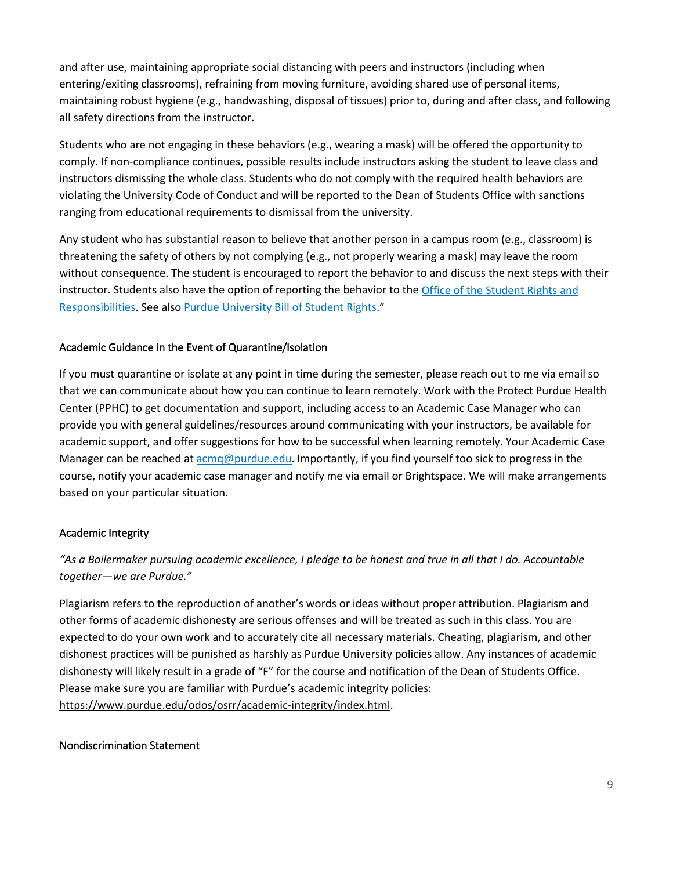and after use, maintaining appropriate social distancing with peers and instructors (including when entering/exiting classrooms), refraining from moving furniture, avoiding shared use of personal items, maintaining robust hygiene (e.g., handwashing, disposal of tissues) prior to, during and after class, and following all safety directions from the instructor.

Students who are not engaging in these behaviors (e.g., wearing a mask) will be offered the opportunity to comply. If non-compliance continues, possible results include instructors asking the student to leave class and instructors dismissing the whole class. Students who do not comply with the required health behaviors are violating the University Code of Conduct and will be reported to the Dean of Students Office with sanctions ranging from educational requirements to dismissal from the university.

Any student who has substantial reason to believe that another person in a campus room (e.g., classroom) is threatening the safety of others by not complying (e.g., not properly wearing a mask) may leave the room without consequence. The student is encouraged to report the behavior to and discuss the next steps with their instructor. Students also have the option of reporting the behavior to th[e Office of the Student Rights and](https://www.purdue.edu/odos/osrr/)  [Responsibilities.](https://www.purdue.edu/odos/osrr/) See also [Purdue University Bill of Student Rights.](https://catalog.purdue.edu/content.php?catoid=7&navoid=2852#purdue-university-bill-of-student-rights)"

# Academic Guidance in the Event of Quarantine/Isolation

If you must quarantine or isolate at any point in time during the semester, please reach out to me via email so that we can communicate about how you can continue to learn remotely. Work with the Protect Purdue Health Center (PPHC) to get documentation and support, including access to an Academic Case Manager who can provide you with general guidelines/resources around communicating with your instructors, be available for academic support, and offer suggestions for how to be successful when learning remotely. Your Academic Case Manager can be reached at  $\frac{1}{2}$  [acmq@purdue.edu.](mailto:acmq@purdue.edu) Importantly, if you find yourself too sick to progress in the course, notify your academic case manager and notify me via email or Brightspace. We will make arrangements based on your particular situation.

#### Academic Integrity

# *"As a Boilermaker pursuing academic excellence, I pledge to be honest and true in all that I do. Accountable together—we are Purdue."*

Plagiarism refers to the reproduction of another's words or ideas without proper attribution. Plagiarism and other forms of academic dishonesty are serious offenses and will be treated as such in this class. You are expected to do your own work and to accurately cite all necessary materials. Cheating, plagiarism, and other dishonest practices will be punished as harshly as Purdue University policies allow. Any instances of academic dishonesty will likely result in a grade of "F" for the course and notification of the Dean of Students Office. Please make sure you are familiar with Purdue's academic integrity policies: [https://www.purdue.edu/odos/osrr/academic-integrity/index.html.](https://www.purdue.edu/odos/osrr/academic-integrity/index.html)

#### Nondiscrimination Statement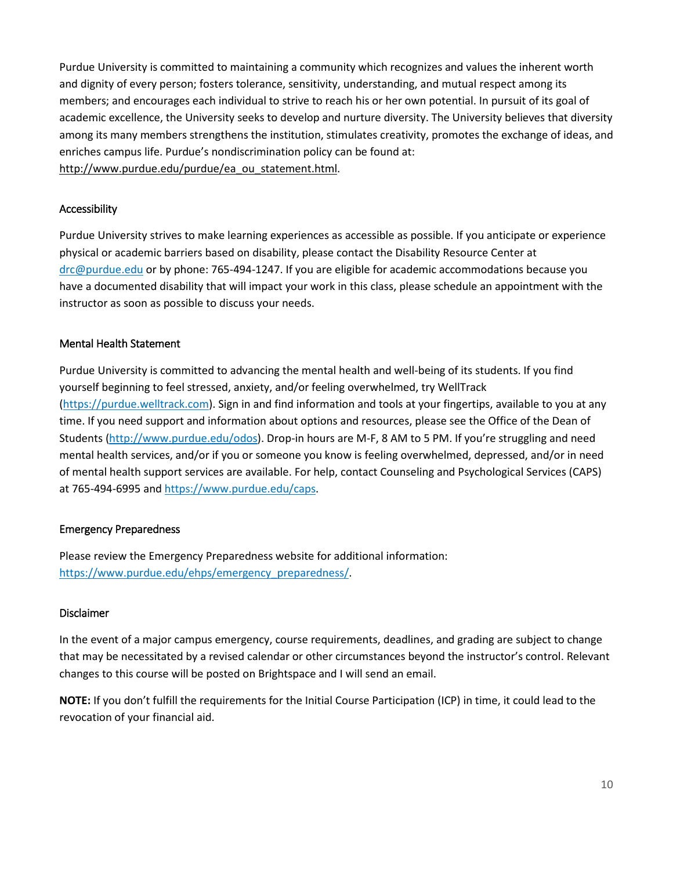Purdue University is committed to maintaining a community which recognizes and values the inherent worth and dignity of every person; fosters tolerance, sensitivity, understanding, and mutual respect among its members; and encourages each individual to strive to reach his or her own potential. In pursuit of its goal of academic excellence, the University seeks to develop and nurture diversity. The University believes that diversity among its many members strengthens the institution, stimulates creativity, promotes the exchange of ideas, and enriches campus life. Purdue's nondiscrimination policy can be found at: [http://www.purdue.edu/purdue/ea\\_ou\\_statement.html.](http://www.purdue.edu/purdue/ea_ou_statement.html)

#### Accessibility

Purdue University strives to make learning experiences as accessible as possible. If you anticipate or experience physical or academic barriers based on disability, please contact the Disability Resource Center at [drc@purdue.edu](mailto:drc@purdue.edu) or by phone: 765-494-1247. If you are eligible for academic accommodations because you have a documented disability that will impact your work in this class, please schedule an appointment with the instructor as soon as possible to discuss your needs.

#### Mental Health Statement

Purdue University is committed to advancing the mental health and well-being of its students. If you find yourself beginning to feel stressed, anxiety, and/or feeling overwhelmed, try WellTrack [\(https://purdue.welltrack.com\)](https://purdue.welltrack.com/). Sign in and find information and tools at your fingertips, available to you at any time. If you need support and information about options and resources, please see the Office of the Dean of Students [\(http://www.purdue.edu/odos\)](http://www.purdue.edu/odos). Drop-in hours are M-F, 8 AM to 5 PM. If you're struggling and need mental health services, and/or if you or someone you know is feeling overwhelmed, depressed, and/or in need of mental health support services are available. For help, contact Counseling and Psychological Services (CAPS) at 765-494-6995 an[d https://www.purdue.edu/caps.](https://www.purdue.edu/caps)

# Emergency Preparedness

Please review the Emergency Preparedness website for additional information: [https://www.purdue.edu/ehps/emergency\\_preparedness/.](https://www.purdue.edu/ehps/emergency_preparedness/)

#### Disclaimer

In the event of a major campus emergency, course requirements, deadlines, and grading are subject to change that may be necessitated by a revised calendar or other circumstances beyond the instructor's control. Relevant changes to this course will be posted on Brightspace and I will send an email.

**NOTE:** If you don't fulfill the requirements for the Initial Course Participation (ICP) in time, it could lead to the revocation of your financial aid.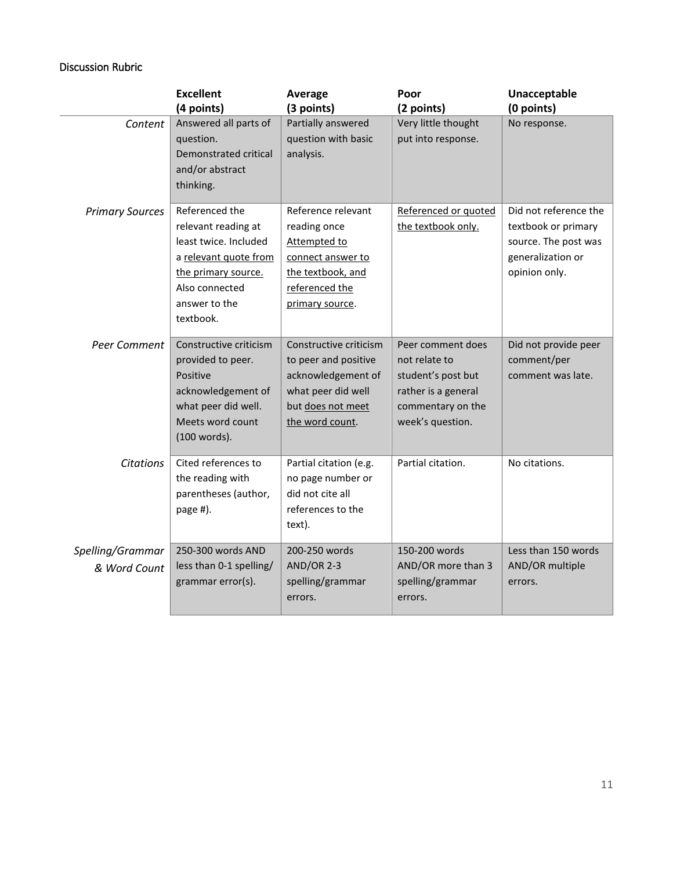# Discussion Rubric

|                                  | <b>Excellent</b>                                                                                                                                               | Average                                                                                                                            | Poor                                                                                                                     | Unacceptable                                                                                               |
|----------------------------------|----------------------------------------------------------------------------------------------------------------------------------------------------------------|------------------------------------------------------------------------------------------------------------------------------------|--------------------------------------------------------------------------------------------------------------------------|------------------------------------------------------------------------------------------------------------|
|                                  | (4 points)                                                                                                                                                     | (3 points)                                                                                                                         | (2 points)                                                                                                               | (0 points)                                                                                                 |
| Content                          | Answered all parts of<br>question.<br>Demonstrated critical<br>and/or abstract<br>thinking.                                                                    | Partially answered<br>question with basic<br>analysis.                                                                             | Very little thought<br>put into response.                                                                                | No response.                                                                                               |
| <b>Primary Sources</b>           | Referenced the<br>relevant reading at<br>least twice. Included<br>a relevant quote from<br>the primary source.<br>Also connected<br>answer to the<br>textbook. | Reference relevant<br>reading once<br>Attempted to<br>connect answer to<br>the textbook, and<br>referenced the<br>primary source.  | Referenced or quoted<br>the textbook only.                                                                               | Did not reference the<br>textbook or primary<br>source. The post was<br>generalization or<br>opinion only. |
| Peer Comment                     | Constructive criticism<br>provided to peer.<br>Positive<br>acknowledgement of<br>what peer did well.<br>Meets word count<br>(100 words).                       | Constructive criticism<br>to peer and positive<br>acknowledgement of<br>what peer did well<br>but does not meet<br>the word count. | Peer comment does<br>not relate to<br>student's post but<br>rather is a general<br>commentary on the<br>week's question. | Did not provide peer<br>comment/per<br>comment was late.                                                   |
| <b>Citations</b>                 | Cited references to<br>the reading with<br>parentheses (author,<br>page #).                                                                                    | Partial citation (e.g.<br>no page number or<br>did not cite all<br>references to the<br>text).                                     | Partial citation.                                                                                                        | No citations.                                                                                              |
| Spelling/Grammar<br>& Word Count | 250-300 words AND<br>less than 0-1 spelling/<br>grammar error(s).                                                                                              | 200-250 words<br><b>AND/OR 2-3</b><br>spelling/grammar<br>errors.                                                                  | 150-200 words<br>AND/OR more than 3<br>spelling/grammar<br>errors.                                                       | Less than 150 words<br>AND/OR multiple<br>errors.                                                          |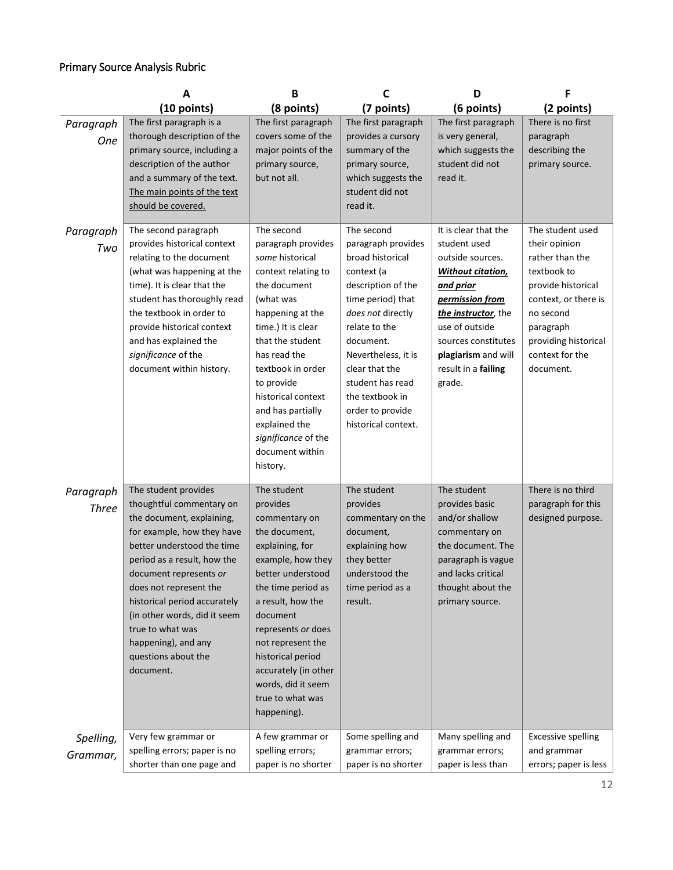# Primary Source Analysis Rubric

|                           | A                                                                                                                                                                                                                                                                                                                                                                           | B                                                                                                                                                                                                                                                                                                                                          | C                                                                                                                                                                                                                                                                                           | D                                                                                                                                                                                                                                           | F                                                                                                                                                                                                   |
|---------------------------|-----------------------------------------------------------------------------------------------------------------------------------------------------------------------------------------------------------------------------------------------------------------------------------------------------------------------------------------------------------------------------|--------------------------------------------------------------------------------------------------------------------------------------------------------------------------------------------------------------------------------------------------------------------------------------------------------------------------------------------|---------------------------------------------------------------------------------------------------------------------------------------------------------------------------------------------------------------------------------------------------------------------------------------------|---------------------------------------------------------------------------------------------------------------------------------------------------------------------------------------------------------------------------------------------|-----------------------------------------------------------------------------------------------------------------------------------------------------------------------------------------------------|
|                           | (10 points)                                                                                                                                                                                                                                                                                                                                                                 | (8 points)                                                                                                                                                                                                                                                                                                                                 | (7 points)                                                                                                                                                                                                                                                                                  | (6 points)                                                                                                                                                                                                                                  | (2 points)                                                                                                                                                                                          |
| Paragraph<br><b>One</b>   | The first paragraph is a<br>thorough description of the<br>primary source, including a<br>description of the author<br>and a summary of the text.<br>The main points of the text<br>should be covered.                                                                                                                                                                      | The first paragraph<br>covers some of the<br>major points of the<br>primary source,<br>but not all.                                                                                                                                                                                                                                        | The first paragraph<br>provides a cursory<br>summary of the<br>primary source,<br>which suggests the<br>student did not<br>read it.                                                                                                                                                         | The first paragraph<br>is very general,<br>which suggests the<br>student did not<br>read it.                                                                                                                                                | There is no first<br>paragraph<br>describing the<br>primary source.                                                                                                                                 |
| Paragraph<br>Two          | The second paragraph<br>provides historical context<br>relating to the document<br>(what was happening at the<br>time). It is clear that the<br>student has thoroughly read<br>the textbook in order to<br>provide historical context<br>and has explained the<br>significance of the<br>document within history.                                                           | The second<br>paragraph provides<br>some historical<br>context relating to<br>the document<br>(what was<br>happening at the<br>time.) It is clear<br>that the student<br>has read the<br>textbook in order<br>to provide<br>historical context<br>and has partially<br>explained the<br>significance of the<br>document within<br>history. | The second<br>paragraph provides<br>broad historical<br>context (a<br>description of the<br>time period) that<br>does not directly<br>relate to the<br>document.<br>Nevertheless, it is<br>clear that the<br>student has read<br>the textbook in<br>order to provide<br>historical context. | It is clear that the<br>student used<br>outside sources.<br><b>Without citation</b><br>and prior<br>permission from<br>the instructor, the<br>use of outside<br>sources constitutes<br>plagiarism and will<br>result in a failing<br>grade. | The student used<br>their opinion<br>rather than the<br>textbook to<br>provide historical<br>context, or there is<br>no second<br>paragraph<br>providing historical<br>context for the<br>document. |
| Paragraph<br><b>Three</b> | The student provides<br>thoughtful commentary on<br>the document, explaining,<br>for example, how they have<br>better understood the time<br>period as a result, how the<br>document represents or<br>does not represent the<br>historical period accurately<br>(in other words, did it seem<br>true to what was<br>happening), and any<br>questions about the<br>document. | The student<br>provides<br>commentary on<br>the document,<br>explaining, for<br>example, how they<br>better understood<br>the time period as<br>a result, how the<br>document<br>represents or does<br>not represent the<br>historical period<br>accurately (in other<br>words, did it seem<br>true to what was<br>happening).             | The student<br>provides<br>commentary on the<br>document,<br>explaining how<br>they better<br>understood the<br>time period as a<br>result.                                                                                                                                                 | The student<br>provides basic<br>and/or shallow<br>commentary on<br>the document. The<br>paragraph is vague<br>and lacks critical<br>thought about the<br>primary source.                                                                   | There is no third<br>paragraph for this<br>designed purpose.                                                                                                                                        |
| Spelling,<br>Grammar,     | Very few grammar or<br>spelling errors; paper is no<br>shorter than one page and                                                                                                                                                                                                                                                                                            | A few grammar or<br>spelling errors;<br>paper is no shorter                                                                                                                                                                                                                                                                                | Some spelling and<br>grammar errors;<br>paper is no shorter                                                                                                                                                                                                                                 | Many spelling and<br>grammar errors;<br>paper is less than                                                                                                                                                                                  | <b>Excessive spelling</b><br>and grammar<br>errors; paper is less                                                                                                                                   |